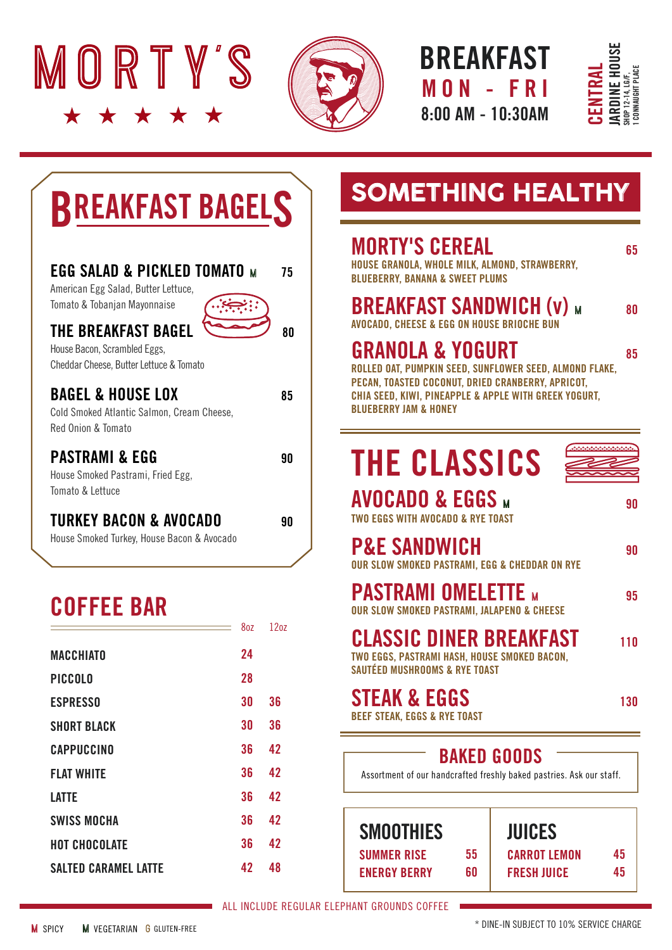



BREAKFAST 8:00 AM - 10:30AM MON - FR I



# BREAKFAST BAGELS

| EGG SALAD & PICKLED TOMATO M<br>American Egg Salad, Butter Lettuce,<br>Tomato & Tobanjan Mayonnaise   | 75 |
|-------------------------------------------------------------------------------------------------------|----|
| <b>THE BREAKFAST BAGEL</b><br>House Bacon, Scrambled Eggs,<br>Cheddar Cheese, Butter Lettuce & Tomato | ጸበ |
| <b>BAGEL &amp; HOUSE LOX</b><br>Cold Smoked Atlantic Salmon, Cream Cheese,<br>Red Onion & Tomato      | 85 |
| <b>PASTRAMI &amp; EGG</b><br>House Smoked Pastrami, Fried Egg,<br>Tomato & Lettuce                    | 90 |
| TURKEY BACON & AVOCADO<br>House Smoked Turkey, House Bacon & Avocado                                  | 90 |

### COFFEE BAR

| 8oz | 1207 |
|-----|------|
| 24  |      |
| 28  |      |
| 30  | 36   |
| 30  | 36   |
| 36  | 42   |
| 36  | 42   |
| 36  | 42   |
| 36  | 42   |
| 36  | 42   |
| 42  | 48   |
|     |      |

## **SOMETHING HEALTHY**

### **MORTY'S CEREAL** 65

HOUSE GRANOLA, WHOLE MILK, ALMOND, STRAWBERRY, BLUEBERRY, BANANA & SWEET PLUMS

#### **BREAKFAST SANDWICH**  $(v)$  $\omega$  **80** AVOCADO, CHEESE & EGG ON HOUSE BRIOCHE BUN

### GRANOLA & YOGURT 85

ROLLED OAT, PUMPKIN SEED, SUNFLOWER SEED, ALMOND FLAKE, PECAN, TOASTED COCONUT, DRIED CRANBERRY, APRICOT, CHIA SEED, KIWI, PINEAPPLE & APPLE WITH GREEK YOGURT, BLUEBERRY JAM & HONEY

# THE CLASSICS

| <b>AVOCADO &amp; EGGS M</b>       |  |
|-----------------------------------|--|
| TWO EGGS WITH AVOCADO & RYE TOAST |  |

| <b>P&amp;E SANDWICH</b><br>OUR SLOW SMOKED PASTRAMI. EGG & CHEDDAR ON RYE | 90 |
|---------------------------------------------------------------------------|----|
| <b>PASTRAMI OMELETTE M</b>                                                | 95 |

OUR SLOW SMOKED PASTRAMI, JALAPENO & CHEESE

### CLASSIC DINER BREAKFAST 110

TWO EGGS, PASTRAMI HASH, HOUSE SMOKED BACON, SAUTÉED MUSHROOMS & RYE TOAST

#### STEAK & EGGS 130 BEEF STEAK, EGGS & RYE TOAST

### BAKED GOODS

55 60

Assortment of our handcrafted freshly baked pastries. Ask our staff.

SUMMER RISE ENERGY BERRY SMOOTHIES

| <b>JUICES</b>      |    |
|--------------------|----|
| CARROT LEMON       | 45 |
| <b>FRESH JUICE</b> | 45 |